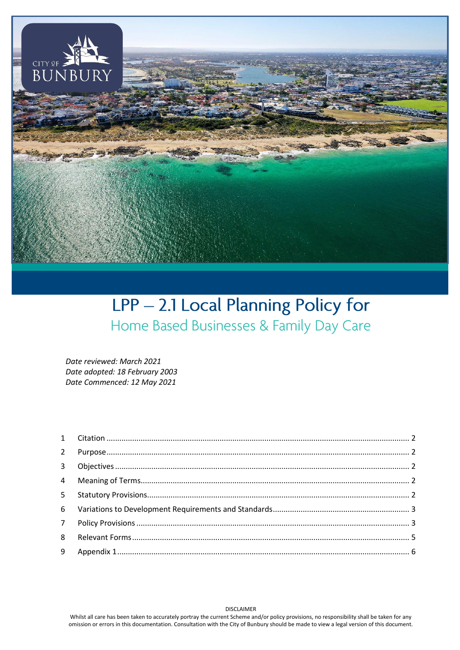

# LPP - 2.1 Local Planning Policy for Home Based Businesses & Family Day Care

Date reviewed: March 2021 Date adopted: 18 February 2003 Date Commenced: 12 May 2021

#### Whilst all care has been taken to accurately portray the current Scheme and/or policy provisions, no responsibility shall be taken for any omission or errors in this documentation. Consultation with the City of Bunbury should be made to view a legal version of this document.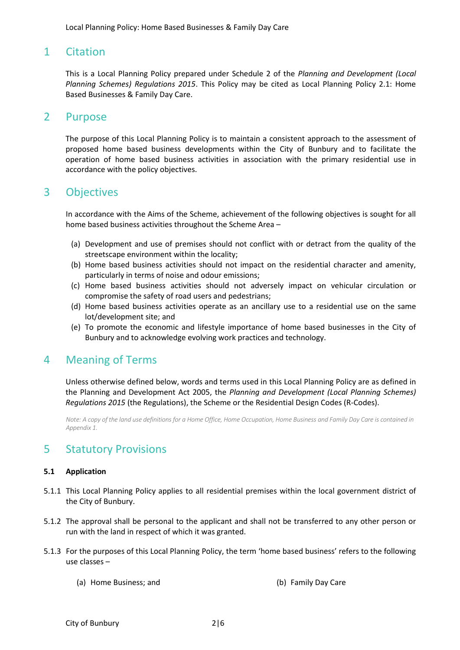### <span id="page-1-0"></span>1 Citation

This is a Local Planning Policy prepared under Schedule 2 of the *Planning and Development (Local Planning Schemes) Regulations 2015*. This Policy may be cited as Local Planning Policy 2.1: Home Based Businesses & Family Day Care.

### <span id="page-1-1"></span>2 Purpose

The purpose of this Local Planning Policy is to maintain a consistent approach to the assessment of proposed home based business developments within the City of Bunbury and to facilitate the operation of home based business activities in association with the primary residential use in accordance with the policy objectives.

### <span id="page-1-2"></span>3 Objectives

In accordance with the Aims of the Scheme, achievement of the following objectives is sought for all home based business activities throughout the Scheme Area –

- (a) Development and use of premises should not conflict with or detract from the quality of the streetscape environment within the locality;
- (b) Home based business activities should not impact on the residential character and amenity, particularly in terms of noise and odour emissions;
- (c) Home based business activities should not adversely impact on vehicular circulation or compromise the safety of road users and pedestrians;
- (d) Home based business activities operate as an ancillary use to a residential use on the same lot/development site; and
- (e) To promote the economic and lifestyle importance of home based businesses in the City of Bunbury and to acknowledge evolving work practices and technology.

### <span id="page-1-3"></span>4 Meaning of Terms

Unless otherwise defined below, words and terms used in this Local Planning Policy are as defined in the Planning and Development Act 2005, the *Planning and Development (Local Planning Schemes) Regulations 2015* (the Regulations), the Scheme or the Residential Design Codes (R-Codes).

*Note: A copy of the land use definitions for a Home Office, Home Occupation, Home Business and Family Day Care is contained in Appendix 1.*

### <span id="page-1-4"></span>5 Statutory Provisions

#### **5.1 Application**

- 5.1.1 This Local Planning Policy applies to all residential premises within the local government district of the City of Bunbury.
- 5.1.2 The approval shall be personal to the applicant and shall not be transferred to any other person or run with the land in respect of which it was granted.
- 5.1.3 For the purposes of this Local Planning Policy, the term 'home based business' refers to the following use classes –
	- (a) Home Business; and (b) Family Day Care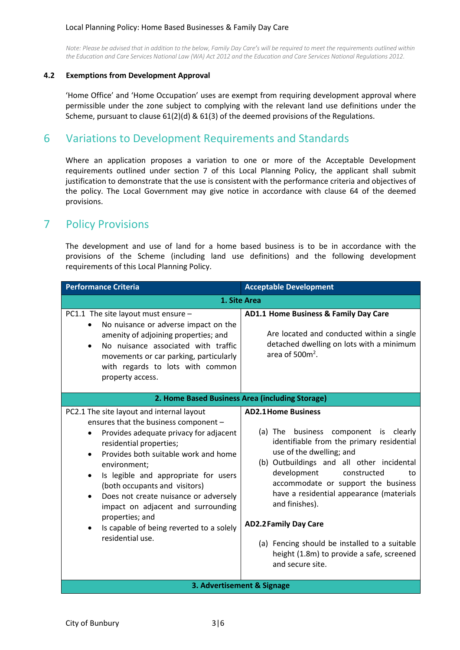#### Local Planning Policy: Home Based Businesses & Family Day Care

*Note: Please be advised that in addition to the below, Family Day Care's will be required to meet the requirements outlined within the Education and Care Services National Law (WA) Act 2012 and the Education and Care Services National Regulations 2012.*

#### **4.2 Exemptions from Development Approval**

'Home Office' and 'Home Occupation' uses are exempt from requiring development approval where permissible under the zone subject to complying with the relevant land use definitions under the Scheme, pursuant to clause 61(2)(d) & 61(3) of the deemed provisions of the Regulations.

### <span id="page-2-0"></span>6 Variations to Development Requirements and Standards

Where an application proposes a variation to one or more of the Acceptable Development requirements outlined under section 7 of this Local Planning Policy, the applicant shall submit justification to demonstrate that the use is consistent with the performance criteria and objectives of the policy. The Local Government may give notice in accordance with clause 64 of the deemed provisions.

### <span id="page-2-1"></span>7 Policy Provisions

The development and use of land for a home based business is to be in accordance with the provisions of the Scheme (including land use definitions) and the following development requirements of this Local Planning Policy.

| <b>Performance Criteria</b>                                                                                                                                                                                                                                                                                                                                                                                                                                                               | <b>Acceptable Development</b>                                                                                                                                                                                                                                                                                                                                                                                                                                                                   |  |  |  |
|-------------------------------------------------------------------------------------------------------------------------------------------------------------------------------------------------------------------------------------------------------------------------------------------------------------------------------------------------------------------------------------------------------------------------------------------------------------------------------------------|-------------------------------------------------------------------------------------------------------------------------------------------------------------------------------------------------------------------------------------------------------------------------------------------------------------------------------------------------------------------------------------------------------------------------------------------------------------------------------------------------|--|--|--|
| 1. Site Area                                                                                                                                                                                                                                                                                                                                                                                                                                                                              |                                                                                                                                                                                                                                                                                                                                                                                                                                                                                                 |  |  |  |
| PC1.1 The site layout must ensure -<br>No nuisance or adverse impact on the<br>amenity of adjoining properties; and<br>No nuisance associated with traffic<br>$\bullet$<br>movements or car parking, particularly<br>with regards to lots with common<br>property access.                                                                                                                                                                                                                 | AD1.1 Home Business & Family Day Care<br>Are located and conducted within a single<br>detached dwelling on lots with a minimum<br>area of 500m <sup>2</sup> .                                                                                                                                                                                                                                                                                                                                   |  |  |  |
| 2. Home Based Business Area (including Storage)                                                                                                                                                                                                                                                                                                                                                                                                                                           |                                                                                                                                                                                                                                                                                                                                                                                                                                                                                                 |  |  |  |
| PC2.1 The site layout and internal layout<br>ensures that the business component -<br>Provides adequate privacy for adjacent<br>residential properties;<br>Provides both suitable work and home<br>$\bullet$<br>environment;<br>Is legible and appropriate for users<br>٠<br>(both occupants and visitors)<br>Does not create nuisance or adversely<br>$\bullet$<br>impact on adjacent and surrounding<br>properties; and<br>Is capable of being reverted to a solely<br>residential use. | <b>AD2.1 Home Business</b><br>$(a)$ The<br>business<br>component is<br>clearly<br>identifiable from the primary residential<br>use of the dwelling; and<br>(b) Outbuildings and all other incidental<br>development<br>constructed<br>to<br>accommodate or support the business<br>have a residential appearance (materials<br>and finishes).<br><b>AD2.2 Family Day Care</b><br>(a) Fencing should be installed to a suitable<br>height (1.8m) to provide a safe, screened<br>and secure site. |  |  |  |
| 3. Advertisement & Signage                                                                                                                                                                                                                                                                                                                                                                                                                                                                |                                                                                                                                                                                                                                                                                                                                                                                                                                                                                                 |  |  |  |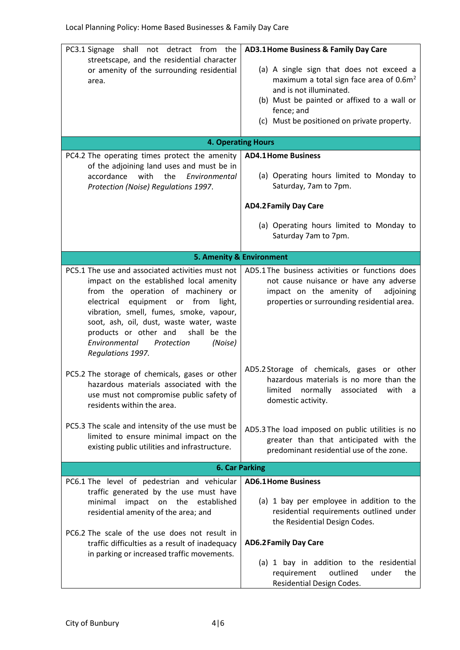| PC3.1 Signage shall not detract from the<br>streetscape, and the residential character<br>or amenity of the surrounding residential<br>area.<br>PC4.2 The operating times protect the amenity<br>of the adjoining land uses and must be in<br>accordance<br>with<br>the<br>Environmental<br>Protection (Noise) Regulations 1997.                                              | AD3.1 Home Business & Family Day Care<br>(a) A single sign that does not exceed a<br>maximum a total sign face area of $0.6m2$<br>and is not illuminated.<br>(b) Must be painted or affixed to a wall or<br>fence; and<br>(c) Must be positioned on private property.<br><b>4. Operating Hours</b><br><b>AD4.1 Home Business</b><br>(a) Operating hours limited to Monday to<br>Saturday, 7am to 7pm. |  |  |
|-------------------------------------------------------------------------------------------------------------------------------------------------------------------------------------------------------------------------------------------------------------------------------------------------------------------------------------------------------------------------------|-------------------------------------------------------------------------------------------------------------------------------------------------------------------------------------------------------------------------------------------------------------------------------------------------------------------------------------------------------------------------------------------------------|--|--|
|                                                                                                                                                                                                                                                                                                                                                                               | <b>AD4.2 Family Day Care</b><br>(a) Operating hours limited to Monday to                                                                                                                                                                                                                                                                                                                              |  |  |
|                                                                                                                                                                                                                                                                                                                                                                               | Saturday 7am to 7pm.                                                                                                                                                                                                                                                                                                                                                                                  |  |  |
| 5. Amenity & Environment                                                                                                                                                                                                                                                                                                                                                      |                                                                                                                                                                                                                                                                                                                                                                                                       |  |  |
| PC5.1 The use and associated activities must not<br>impact on the established local amenity<br>from the operation of machinery or<br>equipment or from<br>electrical<br>light,<br>vibration, smell, fumes, smoke, vapour,<br>soot, ash, oil, dust, waste water, waste<br>products or other and<br>shall be the<br>Environmental<br>Protection<br>(Noise)<br>Regulations 1997. | AD5.1 The business activities or functions does<br>not cause nuisance or have any adverse<br>impact on the amenity of<br>adjoining<br>properties or surrounding residential area.                                                                                                                                                                                                                     |  |  |
| PC5.2 The storage of chemicals, gases or other<br>hazardous materials associated with the<br>use must not compromise public safety of<br>residents within the area.                                                                                                                                                                                                           | AD5.2 Storage of chemicals, gases or other<br>hazardous materials is no more than the<br>limited<br>normally<br>associated<br>with<br>a<br>domestic activity.                                                                                                                                                                                                                                         |  |  |
| PC5.3 The scale and intensity of the use must be<br>limited to ensure minimal impact on the<br>existing public utilities and infrastructure.                                                                                                                                                                                                                                  | AD5.3 The load imposed on public utilities is no<br>greater than that anticipated with the<br>predominant residential use of the zone.                                                                                                                                                                                                                                                                |  |  |
|                                                                                                                                                                                                                                                                                                                                                                               | <b>6. Car Parking</b>                                                                                                                                                                                                                                                                                                                                                                                 |  |  |
| PC6.1 The level of pedestrian and vehicular<br>traffic generated by the use must have<br>impact on the<br>minimal<br>established<br>residential amenity of the area; and<br>PC6.2 The scale of the use does not result in<br>traffic difficulties as a result of inadequacy<br>in parking or increased traffic movements.                                                     | <b>AD6.1 Home Business</b><br>(a) 1 bay per employee in addition to the<br>residential requirements outlined under<br>the Residential Design Codes.<br><b>AD6.2 Family Day Care</b><br>(a) 1 bay in addition to the residential<br>outlined<br>requirement<br>under<br>the<br>Residential Design Codes.                                                                                               |  |  |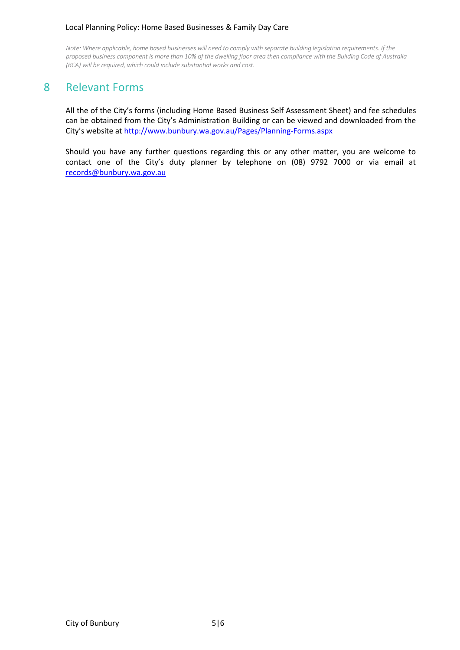#### Local Planning Policy: Home Based Businesses & Family Day Care

*Note: Where applicable, home based businesses will need to comply with separate building legislation requirements. If the proposed business component is more than 10% of the dwelling floor area then compliance with the Building Code of Australia (BCA) will be required, which could include substantial works and cost.*

## <span id="page-4-0"></span>8 Relevant Forms

All the of the City's forms (including Home Based Business Self Assessment Sheet) and fee schedules can be obtained from the City's Administration Building or can be viewed and downloaded from the City's website at <http://www.bunbury.wa.gov.au/Pages/Planning-Forms.aspx>

Should you have any further questions regarding this or any other matter, you are welcome to contact one of the City's duty planner by telephone on (08) 9792 7000 or via email at [records@bunbury.wa.gov.au](mailto:records@bunbury.wa.gov.au)